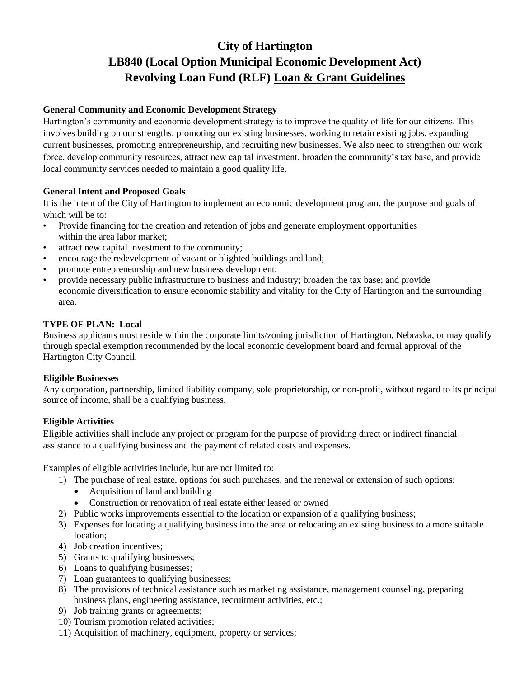# **City of Hartington LB840 (Local Option Municipal Economic Development Act) Revolving Loan Fund (RLF) Loan & Grant Guidelines**

## **General Community and Economic Development Strategy**

Hartington's community and economic development strategy is to improve the quality of life for our citizens. This involves building on our strengths, promoting our existing businesses, working to retain existing jobs, expanding current businesses, promoting entrepreneurship, and recruiting new businesses. We also need to strengthen our work force, develop community resources, attract new capital investment, broaden the community's tax base, and provide local community services needed to maintain a good quality life.

## **General Intent and Proposed Goals**

It is the intent of the City of Hartington to implement an economic development program, the purpose and goals of which will be to:

- Provide financing for the creation and retention of jobs and generate employment opportunities within the area labor market;
- attract new capital investment to the community;
- encourage the redevelopment of vacant or blighted buildings and land;
- promote entrepreneurship and new business development;
- provide necessary public infrastructure to business and industry; broaden the tax base; and provide economic diversification to ensure economic stability and vitality for the City of Hartington and the surrounding area.

## **TYPE OF PLAN: Local**

Business applicants must reside within the corporate limits/zoning jurisdiction of Hartington, Nebraska, or may qualify through special exemption recommended by the local economic development board and formal approval of the Hartington City Council.

#### **Eligible Businesses**

Any corporation, partnership, limited liability company, sole proprietorship, or non-profit, without regard to its principal source of income, shall be a qualifying business.

## **Eligible Activities**

Eligible activities shall include any project or program for the purpose of providing direct or indirect financial assistance to a qualifying business and the payment of related costs and expenses.

Examples of eligible activities include, but are not limited to:

- 1) The purchase of real estate, options for such purchases, and the renewal or extension of such options;
	- Acquisition of land and building
	- Construction or renovation of real estate either leased or owned
- 2) Public works improvements essential to the location or expansion of a qualifying business;
- 3) Expenses for locating a qualifying business into the area or relocating an existing business to a more suitable location;
- 4) Job creation incentives;
- 5) Grants to qualifying businesses;
- 6) Loans to qualifying businesses;
- 7) Loan guarantees to qualifying businesses;
- 8) The provisions of technical assistance such as marketing assistance, management counseling, preparing business plans, engineering assistance, recruitment activities, etc.;
- 9) Job training grants or agreements;
- 10) Tourism promotion related activities;
- 11) Acquisition of machinery, equipment, property or services;